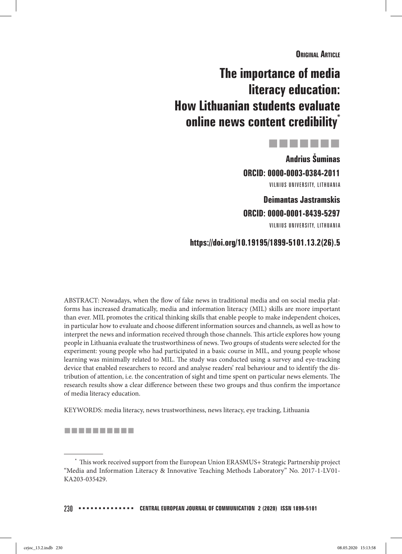**Original Article**

# **The importance of media literacy education: How Lithuanian students evaluate online news content credibility**\*



**Andrius Šuminas ORCID: 0000-0003-0384-2011** VILNIUS UNIVERSITY, LITHUANIA

**Deimantas Jastramskis ORCID: 0000-0001-8439-5297**

VILNIUS UNIVERSITY, LITHUANIA

## **https://doi.org/10.19195/1899-5101.13.2(26).5**

ABSTRACT: Nowadays, when the flow of fake news in traditional media and on social media platforms has increased dramatically, media and information literacy (MIL) skills are more important than ever. MIL promotes the critical thinking skills that enable people to make independent choices, in particular how to evaluate and choose different information sources and channels, as well as how to interpret the news and information received through those channels. This article explores how young people in Lithuania evaluate the trustworthiness of news. Two groups of students were selected for the experiment: young people who had participated in a basic course in MIL, and young people whose learning was minimally related to MIL. The study was conducted using a survey and eye-tracking device that enabled researchers to record and analyse readers' real behaviour and to identify the distribution of attention, i.e. the concentration of sight and time spent on particular news elements. The research results show a clear difference between these two groups and thus confirm the importance of media literacy education.

KEYWORDS: media literacy, news trustworthiness, news literacy, eye tracking, Lithuania

#### ----------

 $^\ast$  This work received support from the European Union ERASMUS+ Strategic Partnership project "Media and Information Literacy & Innovative Teaching Methods Laboratory" No. 2017-1-LV01- KA203-035429.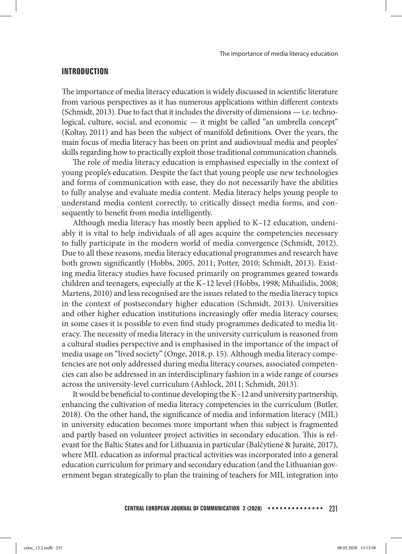#### **INTRODUCTION**

The importance of media literacy education is widely discussed in scientific literature from various perspectives as it has numerous applications within different contexts (Schmidt, 2013). Due to fact that it includes the diversity of dimensions — i.e. technological, culture, social, and economic — it might be called "an umbrella concept" (Koltay, 2011) and has been the subject of manifold definitions. Over the years, the main focus of media literacy has been on print and audiovisual media and peoples' skills regarding how to practically exploit those traditional communication channels.

The role of media literacy education is emphasised especially in the context of young people's education. Despite the fact that young people use new technologies and forms of communication with ease, they do not necessarily have the abilities to fully analyse and evaluate media content. Media literacy helps young people to understand media content correctly, to critically dissect media forms, and consequently to benefit from media intelligently.

Although media literacy has mostly been applied to K–12 education, undeniably it is vital to help individuals of all ages acquire the competencies necessary to fully participate in the modern world of media convergence (Schmidt, 2012). Due to all these reasons, media literacy educational programmes and research have both grown significantly (Hobbs, 2005, 2011; Potter, 2010; Schmidt, 2013). Existing media literacy studies have focused primarily on programmes geared towards children and teenagers, especially at the K–12 level (Hobbs, 1998; Mihailidis, 2008; Martens, 2010) and less recognised are the issues related to the media literacy topics in the context of postsecondary higher education (Schmidt, 2013). Universities and other higher education institutions increasingly offer media literacy courses; in some cases it is possible to even find study programmes dedicated to media literacy. The necessity of media literacy in the university curriculum is reasoned from a cultural studies perspective and is emphasised in the importance of the impact of media usage on "lived society" (Onge, 2018, p. 15). Although media literacy competencies are not only addressed during media literacy courses, associated competencies can also be addressed in an interdisciplinary fashion in a wide range of courses across the university-level curriculum (Ashlock, 2011; Schmidt, 2013).

It would be beneficial to continue developing the K–12 and university partnership, enhancing the cultivation of media literacy competencies in the curriculum (Butler, 2018). On the other hand, the significance of media and information literacy (MIL) in university education becomes more important when this subject is fragmented and partly based on volunteer project activities in secondary education. This is relevant for the Baltic States and for Lithuania in particular (Balčytienė & Juraitė, 2017), where MIL education as informal practical activities was incorporated into a general education curriculum for primary and secondary education (and the Lithuanian government began strategically to plan the training of teachers for MIL integration into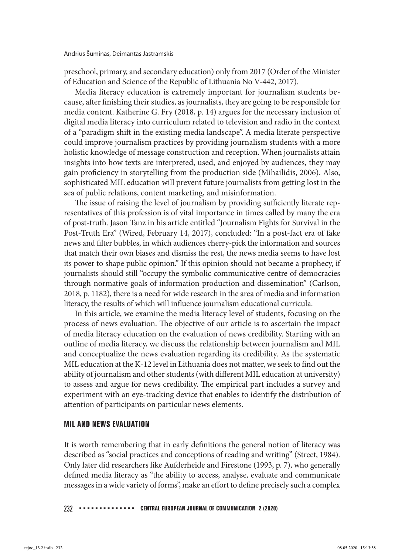preschool, primary, and secondary education) only from 2017 (Order of the Minister of Education and Science of the Republic of Lithuania No V-442, 2017).

Media literacy education is extremely important for journalism students because, after finishing their studies, as journalists, they are going to be responsible for media content. Katherine G. Fry (2018, p. 14) argues for the necessary inclusion of digital media literacy into curriculum related to television and radio in the context of a "paradigm shift in the existing media landscape". A media literate perspective could improve journalism practices by providing journalism students with a more holistic knowledge of message construction and reception. When journalists attain insights into how texts are interpreted, used, and enjoyed by audiences, they may gain proficiency in storytelling from the production side (Mihailidis, 2006). Also, sophisticated MIL education will prevent future journalists from getting lost in the sea of public relations, content marketing, and misinformation.

The issue of raising the level of journalism by providing sufficiently literate representatives of this profession is of vital importance in times called by many the era of post-truth. Jason Tanz in his article entitled "Journalism Fights for Survival in the Post-Truth Era" (Wired, February 14, 2017), concluded: "In a post-fact era of fake news and filter bubbles, in which audiences cherry-pick the information and sources that match their own biases and dismiss the rest, the news media seems to have lost its power to shape public opinion." If this opinion should not became a prophecy, if journalists should still "occupy the symbolic communicative centre of democracies through normative goals of information production and dissemination" (Carlson, 2018, p. 1182), there is a need for wide research in the area of media and information literacy, the results of which will influence journalism educational curricula.

In this article, we examine the media literacy level of students, focusing on the process of news evaluation. The objective of our article is to ascertain the impact of media literacy education on the evaluation of news credibility. Starting with an outline of media literacy, we discuss the relationship between journalism and MIL and conceptualize the news evaluation regarding its credibility. As the systematic MIL education at the K-12 level in Lithuania does not matter, we seek to find out the ability of journalism and other students (with different MIL education at university) to assess and argue for news credibility. The empirical part includes a survey and experiment with an eye-tracking device that enables to identify the distribution of attention of participants on particular news elements.

## **MIL AND NEWS EVALUATION**

It is worth remembering that in early definitions the general notion of literacy was described as "social practices and conceptions of reading and writing" (Street, 1984). Only later did researchers like Aufderheide and Firestone (1993, p. 7), who generally defined media literacy as "the ability to access, analyse, evaluate and communicate messages in a wide variety of forms", make an effort to define precisely such a complex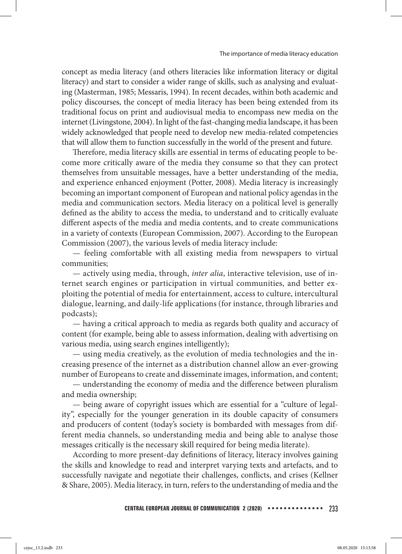concept as media literacy (and others literacies like information literacy or digital literacy) and start to consider a wider range of skills, such as analysing and evaluating (Masterman, 1985; Messaris, 1994). In recent decades, within both academic and policy discourses, the concept of media literacy has been being extended from its traditional focus on print and audiovisual media to encompass new media on the internet (Livingstone, 2004). In light of the fast-changing media landscape, it has been widely acknowledged that people need to develop new media-related competencies that will allow them to function successfully in the world of the present and future.

Therefore, media literacy skills are essential in terms of educating people to become more critically aware of the media they consume so that they can protect themselves from unsuitable messages, have a better understanding of the media, and experience enhanced enjoyment (Potter, 2008). Media literacy is increasingly becoming an important component of European and national policy agendas in the media and communication sectors. Media literacy on a political level is generally defined as the ability to access the media, to understand and to critically evaluate different aspects of the media and media contents, and to create communications in a variety of contexts (European Commission, 2007). According to the European Commission (2007), the various levels of media literacy include:

— feeling comfortable with all existing media from newspapers to virtual communities;

— actively using media, through, *inter alia*, interactive television, use of internet search engines or participation in virtual communities, and better exploiting the potential of media for entertainment, access to culture, intercultural dialogue, learning, and daily-life applications (for instance, through libraries and podcasts);

— having a critical approach to media as regards both quality and accuracy of content (for example, being able to assess information, dealing with advertising on various media, using search engines intelligently);

— using media creatively, as the evolution of media technologies and the increasing presence of the internet as a distribution channel allow an ever-growing number of Europeans to create and disseminate images, information, and content;

— understanding the economy of media and the difference between pluralism and media ownership;

— being aware of copyright issues which are essential for a "culture of legality", especially for the younger generation in its double capacity of consumers and producers of content (today's society is bombarded with messages from different media channels, so understanding media and being able to analyse those messages critically is the necessary skill required for being media literate).

According to more present-day definitions of literacy, literacy involves gaining the skills and knowledge to read and interpret varying texts and artefacts, and to successfully navigate and negotiate their challenges, conflicts, and crises (Kellner & Share, 2005). Media literacy, in turn, refers to the understanding of media and the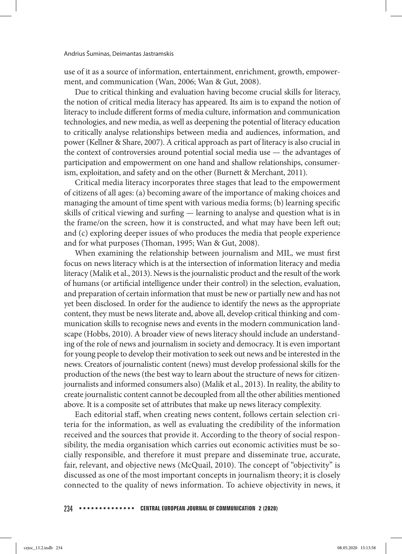use of it as a source of information, entertainment, enrichment, growth, empowerment, and communication (Wan, 2006; Wan & Gut, 2008).

Due to critical thinking and evaluation having become crucial skills for literacy, the notion of critical media literacy has appeared. Its aim is to expand the notion of literacy to include different forms of media culture, information and communication technologies, and new media, as well as deepening the potential of literacy education to critically analyse relationships between media and audiences, information, and power (Kellner & Share, 2007). A critical approach as part of literacy is also crucial in the context of controversies around potential social media use — the advantages of participation and empowerment on one hand and shallow relationships, consumerism, exploitation, and safety and on the other (Burnett & Merchant, 2011).

Critical media literacy incorporates three stages that lead to the empowerment of citizens of all ages: (a) becoming aware of the importance of making choices and managing the amount of time spent with various media forms; (b) learning specific skills of critical viewing and surfing — learning to analyse and question what is in the frame/on the screen, how it is constructed, and what may have been left out; and (c) exploring deeper issues of who produces the media that people experience and for what purposes (Thoman, 1995; Wan & Gut, 2008).

When examining the relationship between journalism and MIL, we must first focus on news literacy which is at the intersection of information literacy and media literacy (Malik et al., 2013). News is the journalistic product and the result of the work of humans (or artificial intelligence under their control) in the selection, evaluation, and preparation of certain information that must be new or partially new and has not yet been disclosed. In order for the audience to identify the news as the appropriate content, they must be news literate and, above all, develop critical thinking and communication skills to recognise news and events in the modern communication landscape (Hobbs, 2010). A broader view of news literacy should include an understanding of the role of news and journalism in society and democracy. It is even important for young people to develop their motivation to seek out news and be interested in the news. Creators of journalistic content (news) must develop professional skills for the production of the news (the best way to learn about the structure of news for citizenjournalists and informed consumers also) (Malik et al., 2013). In reality, the ability to create journalistic content cannot be decoupled from all the other abilities mentioned above. It is a composite set of attributes that make up news literacy complexity.

Each editorial staff, when creating news content, follows certain selection criteria for the information, as well as evaluating the credibility of the information received and the sources that provide it. According to the theory of social responsibility, the media organisation which carries out economic activities must be socially responsible, and therefore it must prepare and disseminate true, accurate, fair, relevant, and objective news (McQuail, 2010). The concept of "objectivity" is discussed as one of the most important concepts in journalism theory; it is closely connected to the quality of news information. To achieve objectivity in news, it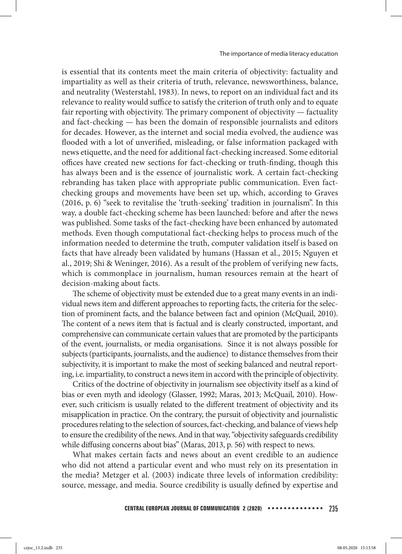is essential that its contents meet the main criteria of objectivity: factuality and impartiality as well as their criteria of truth, relevance, newsworthiness, balance, and neutrality (Westerstahl, 1983). In news, to report on an individual fact and its relevance to reality would suffice to satisfy the criterion of truth only and to equate fair reporting with objectivity. The primary component of objectivity — factuality and fact-checking — has been the domain of responsible journalists and editors for decades. However, as the internet and social media evolved, the audience was flooded with a lot of unverified, misleading, or false information packaged with news etiquette, and the need for additional fact-checking increased. Some editorial offices have created new sections for fact-checking or truth-finding, though this has always been and is the essence of journalistic work. A certain fact-checking rebranding has taken place with appropriate public communication. Even factchecking groups and movements have been set up, which, according to Graves (2016, p. 6) "seek to revitalise the 'truth-seeking' tradition in journalism". In this way, a double fact-checking scheme has been launched: before and after the news was published. Some tasks of the fact-checking have been enhanced by automated methods. Even though computational fact-checking helps to process much of the information needed to determine the truth, computer validation itself is based on facts that have already been validated by humans (Hassan et al., 2015; Nguyen et al., 2019; Shi & Weninger, 2016). As a result of the problem of verifying new facts, which is commonplace in journalism, human resources remain at the heart of decision-making about facts.

The scheme of objectivity must be extended due to a great many events in an individual news item and different approaches to reporting facts, the criteria for the selection of prominent facts, and the balance between fact and opinion (McQuail, 2010). The content of a news item that is factual and is clearly constructed, important, and comprehensive can communicate certain values that are promoted by the participants of the event, journalists, or media organisations. Since it is not always possible for subjects (participants, journalists, and the audience) to distance themselves from their subjectivity, it is important to make the most of seeking balanced and neutral reporting, i.e. impartiality, to construct a news item in accord with the principle of objectivity.

Critics of the doctrine of objectivity in journalism see objectivity itself as a kind of bias or even myth and ideology (Glasser, 1992; Maras, 2013; McQuail, 2010). However, such criticism is usually related to the different treatment of objectivity and its misapplication in practice. On the contrary, the pursuit of objectivity and journalistic procedures relating to the selection of sources, fact-checking, and balance of views help to ensure the credibility of the news. And in that way, "objectivity safeguards credibility while diffusing concerns about bias" (Maras, 2013, p. 56) with respect to news.

What makes certain facts and news about an event credible to an audience who did not attend a particular event and who must rely on its presentation in the media? Metzger et al. (2003) indicate three levels of information credibility: source, message, and media. Source credibility is usually defined by expertise and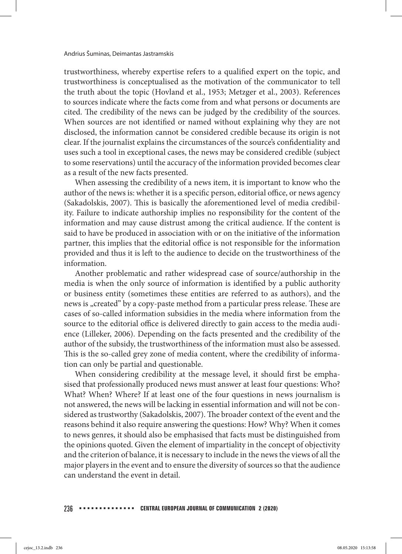trustworthiness, whereby expertise refers to a qualified expert on the topic, and trustworthiness is conceptualised as the motivation of the communicator to tell the truth about the topic (Hovland et al., 1953; Metzger et al., 2003). References to sources indicate where the facts come from and what persons or documents are cited. The credibility of the news can be judged by the credibility of the sources. When sources are not identified or named without explaining why they are not disclosed, the information cannot be considered credible because its origin is not clear. If the journalist explains the circumstances of the source's confidentiality and uses such a tool in exceptional cases, the news may be considered credible (subject to some reservations) until the accuracy of the information provided becomes clear as a result of the new facts presented.

When assessing the credibility of a news item, it is important to know who the author of the news is: whether it is a specific person, editorial office, or news agency (Sakadolskis, 2007). This is basically the aforementioned level of media credibility. Failure to indicate authorship implies no responsibility for the content of the information and may cause distrust among the critical audience. If the content is said to have be produced in association with or on the initiative of the information partner, this implies that the editorial office is not responsible for the information provided and thus it is left to the audience to decide on the trustworthiness of the information.

Another problematic and rather widespread case of source/authorship in the media is when the only source of information is identified by a public authority or business entity (sometimes these entities are referred to as authors), and the news is "created" by a copy-paste method from a particular press release. These are cases of so-called information subsidies in the media where information from the source to the editorial office is delivered directly to gain access to the media audience (Lilleker, 2006). Depending on the facts presented and the credibility of the author of the subsidy, the trustworthiness of the information must also be assessed. This is the so-called grey zone of media content, where the credibility of information can only be partial and questionable.

When considering credibility at the message level, it should first be emphasised that professionally produced news must answer at least four questions: Who? What? When? Where? If at least one of the four questions in news journalism is not answered, the news will be lacking in essential information and will not be considered as trustworthy (Sakadolskis, 2007). The broader context of the event and the reasons behind it also require answering the questions: How? Why? When it comes to news genres, it should also be emphasised that facts must be distinguished from the opinions quoted. Given the element of impartiality in the concept of objectivity and the criterion of balance, it is necessary to include in the news the views of all the major players in the event and to ensure the diversity of sources so that the audience can understand the event in detail.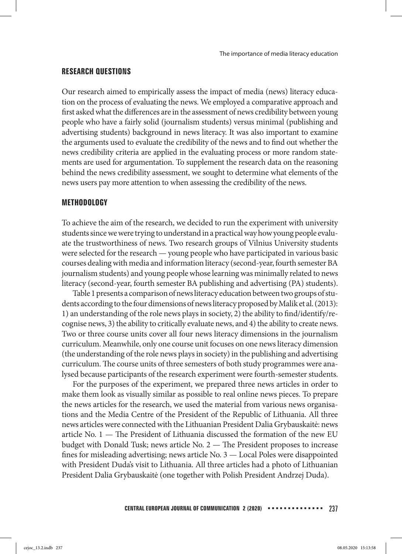## **RESEARCH QUESTIONS**

Our research aimed to empirically assess the impact of media (news) literacy education on the process of evaluating the news. We employed a comparative approach and first asked what the differences are in the assessment of news credibility between young people who have a fairly solid (journalism students) versus minimal (publishing and advertising students) background in news literacy. It was also important to examine the arguments used to evaluate the credibility of the news and to find out whether the news credibility criteria are applied in the evaluating process or more random statements are used for argumentation. To supplement the research data on the reasoning behind the news credibility assessment, we sought to determine what elements of the news users pay more attention to when assessing the credibility of the news.

## **METHODOLOGY**

To achieve the aim of the research, we decided to run the experiment with university students since we were trying to understand in a practical way how young people evaluate the trustworthiness of news. Two research groups of Vilnius University students were selected for the research — young people who have participated in various basic courses dealing with media and information literacy (second-year, fourth semester BA journalism students) and young people whose learning was minimally related to news literacy (second-year, fourth semester BA publishing and advertising (PA) students).

Table 1 presents a comparison of news literacy education between two groups of students according to the four dimensions of news literacy proposed by Malik et al. (2013): 1) an understanding of the role news plays in society, 2) the ability to find/identify/recognise news, 3) the ability to critically evaluate news, and 4) the ability to create news. Two or three course units cover all four news literacy dimensions in the journalism curriculum. Meanwhile, only one course unit focuses on one news literacy dimension (the understanding of the role news plays in society) in the publishing and advertising curriculum. The course units of three semesters of both study programmes were analysed because participants of the research experiment were fourth-semester students.

For the purposes of the experiment, we prepared three news articles in order to make them look as visually similar as possible to real online news pieces. To prepare the news articles for the research, we used the material from various news organisations and the Media Centre of the President of the Republic of Lithuania. All three news articles were connected with the Lithuanian President Dalia Grybauskaitė: news article No.  $1 -$  The President of Lithuania discussed the formation of the new EU budget with Donald Tusk; news article No. 2 — The President proposes to increase fines for misleading advertising; news article No.  $3 -$  Local Poles were disappointed with President Duda's visit to Lithuania. All three articles had a photo of Lithuanian President Dalia Grybauskaitė (one together with Polish President Andrzej Duda).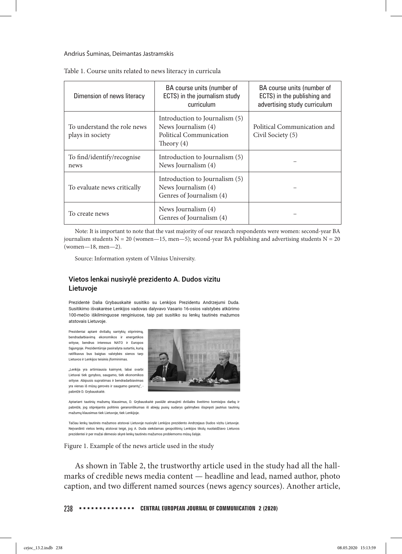#### Andrius Šuminas, Deimantas Jastramskis

| Dimension of news literacy                      | BA course units (number of<br>ECTS) in the journalism study<br>curriculum                        | BA course units (number of<br>ECTS) in the publishing and<br>advertising study curriculum |
|-------------------------------------------------|--------------------------------------------------------------------------------------------------|-------------------------------------------------------------------------------------------|
| To understand the role news<br>plays in society | Introduction to Journalism (5)<br>News Journalism (4)<br>Political Communication<br>Theory $(4)$ | Political Communication and<br>Civil Society (5)                                          |
| To find/identify/recognise<br>news              | Introduction to Journalism (5)<br>News Journalism (4)                                            |                                                                                           |
| To evaluate news critically                     | Introduction to Journalism (5)<br>News Journalism (4)<br>Genres of Journalism (4)                |                                                                                           |
| To create news                                  | News Journalism (4)<br>Genres of Journalism (4)                                                  |                                                                                           |

Table 1. Course units related to news literacy in curricula

Note: It is important to note that the vast majority of our research respondents were women: second-year BA journalism students  $N = 20$  (women—15, men—5); second-year BA publishing and advertising students  $N = 20$ (women—18, men—2).

Source: Information system of Vilnius University.

#### Vietos lenkai nusivylė prezidento A. Dudos vizitu Lietuvoje

Prezidentė Dalia Grybauskaitė susitiko su Lenkijos Prezidentu Andrzejumi Duda. Susitikimo išvakarėse Lenkijos vadovas dalyvavo Vasario 16-osios valstybės atkūrimo 100-mečio iškilminguose renginiuose, taip pat susitiko su lenkų tautinės mažumos atstovais Lietuvoje.

Prezidentai aptarė dvišalių santykių stiprinimą, bendradarbiavimą ekonomikos ir energetikos srityse, bendrus interesus NATO ir Europos Sąjungoje. Prezidentūroje pasirašyta sutartis, kurią ratifikavus bus baigtas valstybės sienos tarp Lietuvos ir Lenkijos teisinis įforminimas.

"Lenkija yra artimiausia kaimynė, labai svarbi Lietuvai tiek gynybos, saugumo, tiek ekonomikos srityse. Abipusis supratimas ir bendradarbiavimas yra vienas iš mūsų gerovės ir saugumo garantų", pabrėžė D. Grybauskaitė.



Aptariant tautinių mažumų klausimus, D. Grybauskaitė pasiūlė atnaujinti dvišalės šveitimo komisijos darbą ir pabrėžė, jog stiprėjantis politinis geranoriškumas iš abiejų pusių sudarys galimybes išspręsti jautrius tautinių mažumų klausimus tiek Lietuvoje, tiek Lenkijoje.

Tačiau lenkų tautinės mažumos atstovai Lietuvoje nusivylė Lenkijos prezidento Andrzejaus Dudos vizitu Lietuvoje Neįvardinti vietos lenkų atstovai teigė, jog A. Duda siekdamas geopolitinių Lenkijos tikslų nuolaidžiavo Lietuvos prezidentei ir per mažai dėmesio skyrė lenkų tautinės mažumos problemoms mūsų šalyje.

Figure 1. Example of the news article used in the study

As shown in Table 2, the trustworthy article used in the study had all the hallmarks of credible news media content — headline and lead, named author, photo caption, and two different named sources (news agency sources). Another article,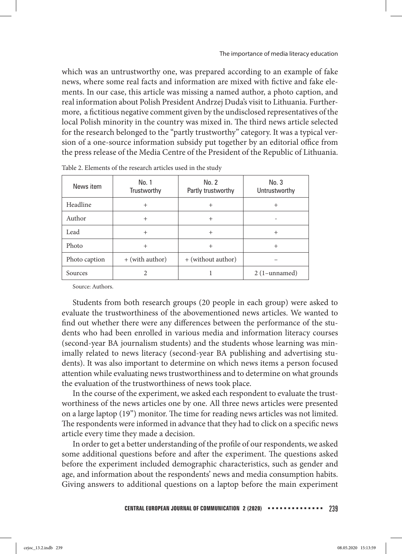which was an untrustworthy one, was prepared according to an example of fake news, where some real facts and information are mixed with fictive and fake elements. In our case, this article was missing a named author, a photo caption, and real information about Polish President Andrzej Duda's visit to Lithuania. Furthermore, a fictitious negative comment given by the undisclosed representatives of the local Polish minority in the country was mixed in. The third news article selected for the research belonged to the "partly trustworthy" category. It was a typical version of a one-source information subsidy put together by an editorial office from the press release of the Media Centre of the President of the Republic of Lithuania.

| News item     | No. 1<br>Trustworthy | No. 2<br>Partly trustworthy | No.3<br>Untrustworthy |
|---------------|----------------------|-----------------------------|-----------------------|
| Headline      | $^{+}$               | $^{+}$                      |                       |
| Author        | $^{+}$               | $^{+}$                      |                       |
| Lead          | $^{+}$               | $^{+}$                      | $\div$                |
| Photo         | $^{+}$               | $\pm$                       | $^{+}$                |
| Photo caption | + (with author)      | + (without author)          |                       |
| Sources       |                      |                             | $2(1$ -unnamed)       |

|  |  |  |  | Table 2. Elements of the research articles used in the study |  |  |  |  |  |  |  |  |  |  |
|--|--|--|--|--------------------------------------------------------------|--|--|--|--|--|--|--|--|--|--|
|--|--|--|--|--------------------------------------------------------------|--|--|--|--|--|--|--|--|--|--|

Source: Authors.

Students from both research groups (20 people in each group) were asked to evaluate the trustworthiness of the abovementioned news articles. We wanted to find out whether there were any differences between the performance of the students who had been enrolled in various media and information literacy courses (second-year BA journalism students) and the students whose learning was minimally related to news literacy (second-year BA publishing and advertising students). It was also important to determine on which news items a person focused attention while evaluating news trustworthiness and to determine on what grounds the evaluation of the trustworthiness of news took place.

In the course of the experiment, we asked each respondent to evaluate the trustworthiness of the news articles one by one. All three news articles were presented on a large laptop (19") monitor. The time for reading news articles was not limited. The respondents were informed in advance that they had to click on a specific news article every time they made a decision.

In order to get a better understanding of the profile of our respondents, we asked some additional questions before and after the experiment. The questions asked before the experiment included demographic characteristics, such as gender and age, and information about the respondents' news and media consumption habits. Giving answers to additional questions on a laptop before the main experiment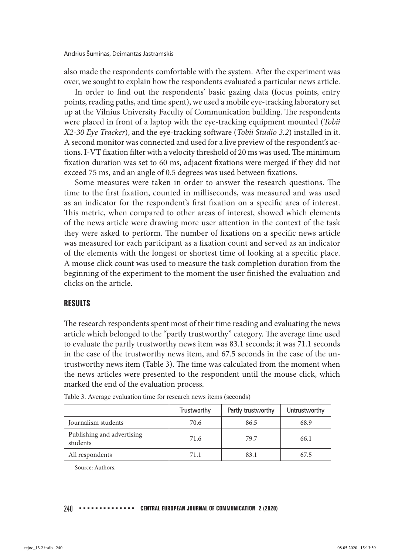also made the respondents comfortable with the system. After the experiment was over, we sought to explain how the respondents evaluated a particular news article.

In order to find out the respondents' basic gazing data (focus points, entry points, reading paths, and time spent), we used a mobile eye-tracking laboratory set up at the Vilnius University Faculty of Communication building. The respondents were placed in front of a laptop with the eye-tracking equipment mounted (*Tobii X2-30 Eye Tracker*), and the eye-tracking software (*Tobii Studio 3.2*) installed in it. A second monitor was connected and used for a live preview of the respondent's actions. I-VT fixation filter with a velocity threshold of 20 ms was used. The minimum fixation duration was set to 60 ms, adjacent fixations were merged if they did not exceed 75 ms, and an angle of 0.5 degrees was used between fixations.

Some measures were taken in order to answer the research questions. The time to the first fixation, counted in milliseconds, was measured and was used as an indicator for the respondent's first fixation on a specific area of interest. This metric, when compared to other areas of interest, showed which elements of the news article were drawing more user attention in the context of the task they were asked to perform. The number of fixations on a specific news article was measured for each participant as a fixation count and served as an indicator of the elements with the longest or shortest time of looking at a specific place. A mouse click count was used to measure the task completion duration from the beginning of the experiment to the moment the user finished the evaluation and clicks on the article.

## **RESULTS**

The research respondents spent most of their time reading and evaluating the news article which belonged to the "partly trustworthy" category. The average time used to evaluate the partly trustworthy news item was 83.1 seconds; it was 71.1 seconds in the case of the trustworthy news item, and 67.5 seconds in the case of the untrustworthy news item (Table 3). The time was calculated from the moment when the news articles were presented to the respondent until the mouse click, which marked the end of the evaluation process.

|                                        | Trustworthy | Partly trustworthy | Untrustworthy |
|----------------------------------------|-------------|--------------------|---------------|
| Journalism students                    | 70.6        | 86.5               | 68.9          |
| Publishing and advertising<br>students | 71.6        | 79.7               | 66.1          |
| All respondents                        | 71.1        | 83.1               | 67.5          |

Table 3. Average evaluation time for research news items (seconds)

Source: Authors.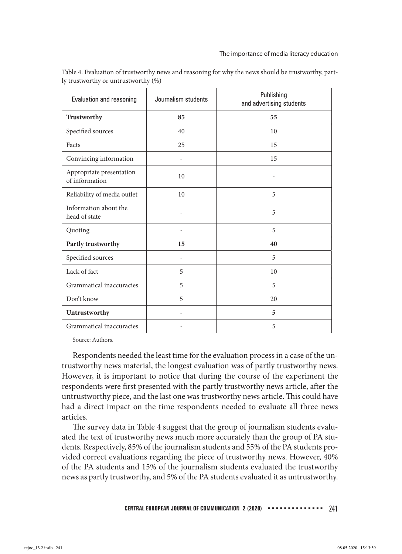| Evaluation and reasoning                   | Journalism students      | Publishing<br>and advertising students |
|--------------------------------------------|--------------------------|----------------------------------------|
| Trustworthy                                | 85                       | 55                                     |
| Specified sources                          | 40                       | 10                                     |
| Facts                                      | 25                       | 15                                     |
| Convincing information                     |                          | 15                                     |
| Appropriate presentation<br>of information | 10                       | $\overline{a}$                         |
| Reliability of media outlet                | 10                       | 5                                      |
| Information about the<br>head of state     | ÷                        | 5                                      |
| Quoting                                    | ÷                        | 5                                      |
| Partly trustworthy                         | 15                       | 40                                     |
| Specified sources                          | $\overline{\phantom{m}}$ | 5                                      |
| Lack of fact                               | 5                        | 10                                     |
| Grammatical inaccuracies                   | 5                        | 5                                      |
| Don't know                                 | 5                        | 20                                     |
| Untrustworthy                              |                          | 5                                      |
| Grammatical inaccuracies                   |                          | 5                                      |

Table 4. Evaluation of trustworthy news and reasoning for why the news should be trustworthy, partly trustworthy or untrustworthy (%)

Source: Authors.

Respondents needed the least time for the evaluation process in a case of the untrustworthy news material, the longest evaluation was of partly trustworthy news. However, it is important to notice that during the course of the experiment the respondents were first presented with the partly trustworthy news article, after the untrustworthy piece, and the last one was trustworthy news article. This could have had a direct impact on the time respondents needed to evaluate all three news articles.

The survey data in Table 4 suggest that the group of journalism students evaluated the text of trustworthy news much more accurately than the group of PA students. Respectively, 85% of the journalism students and 55% of the PA students provided correct evaluations regarding the piece of trustworthy news. However, 40% of the PA students and 15% of the journalism students evaluated the trustworthy news as partly trustworthy, and 5% of the PA students evaluated it as untrustworthy.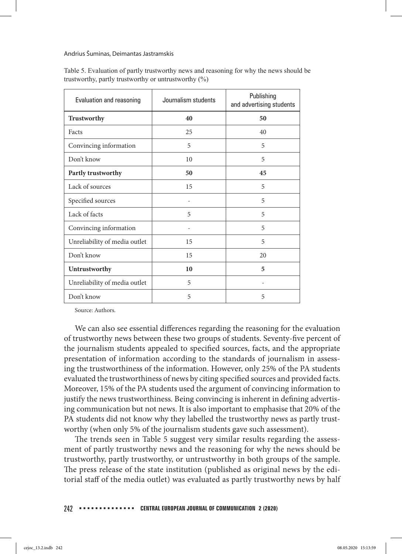Andrius Šuminas, Deimantas Jastramskis

| Evaluation and reasoning      | Journalism students | Publishing<br>and advertising students |
|-------------------------------|---------------------|----------------------------------------|
| Trustworthy                   | 40                  | 50                                     |
| Facts                         | 25                  | 40                                     |
| Convincing information        | 5                   | 5                                      |
| Don't know                    | 10                  | 5                                      |
| Partly trustworthy            | 50                  | 45                                     |
| Lack of sources               | 15                  | 5                                      |
| Specified sources             |                     | 5                                      |
| Lack of facts                 | 5                   | 5                                      |
| Convincing information        |                     | 5                                      |
| Unreliability of media outlet | 15                  | 5                                      |
| Don't know                    | 15                  | 20                                     |
| Untrustworthy                 | 10                  | 5                                      |
| Unreliability of media outlet | 5                   |                                        |
| Don't know                    | 5                   | 5                                      |

Table 5. Evaluation of partly trustworthy news and reasoning for why the news should be trustworthy, partly trustworthy or untrustworthy (%)

Source: Authors.

We can also see essential differences regarding the reasoning for the evaluation of trustworthy news between these two groups of students. Seventy-five percent of the journalism students appealed to specified sources, facts, and the appropriate presentation of information according to the standards of journalism in assessing the trustworthiness of the information. However, only 25% of the PA students evaluated the trustworthiness of news by citing specified sources and provided facts. Moreover, 15% of the PA students used the argument of convincing information to justify the news trustworthiness. Being convincing is inherent in defining advertising communication but not news. It is also important to emphasise that 20% of the PA students did not know why they labelled the trustworthy news as partly trustworthy (when only 5% of the journalism students gave such assessment).

The trends seen in Table 5 suggest very similar results regarding the assessment of partly trustworthy news and the reasoning for why the news should be trustworthy, partly trustworthy, or untrustworthy in both groups of the sample. The press release of the state institution (published as original news by the editorial staff of the media outlet) was evaluated as partly trustworthy news by half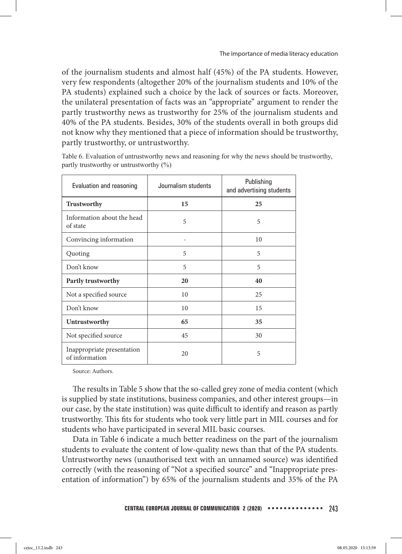of the journalism students and almost half (45%) of the PA students. However, very few respondents (altogether 20% of the journalism students and 10% of the PA students) explained such a choice by the lack of sources or facts. Moreover, the unilateral presentation of facts was an "appropriate" argument to render the partly trustworthy news as trustworthy for 25% of the journalism students and 40% of the PA students. Besides, 30% of the students overall in both groups did not know why they mentioned that a piece of information should be trustworthy, partly trustworthy, or untrustworthy.

Table 6. Evaluation of untrustworthy news and reasoning for why the news should be trustworthy, partly trustworthy or untrustworthy (%)

| Evaluation and reasoning                     | Journalism students | Publishing<br>and advertising students |  |  |
|----------------------------------------------|---------------------|----------------------------------------|--|--|
| Trustworthy                                  | 15                  | 25                                     |  |  |
| Information about the head<br>of state       | 5                   | 5                                      |  |  |
| Convincing information                       |                     | 10                                     |  |  |
| Quoting                                      | 5                   | 5                                      |  |  |
| Don't know                                   | 5                   | 5                                      |  |  |
| Partly trustworthy                           | 20                  | 40                                     |  |  |
| Not a specified source                       | 10                  | 25                                     |  |  |
| Don't know                                   | 10                  | 15                                     |  |  |
| Untrustworthy                                | 65                  | 35                                     |  |  |
| Not specified source                         | 45                  | 30                                     |  |  |
| Inappropriate presentation<br>of information | 20                  | 5                                      |  |  |

Source: Authors.

The results in Table 5 show that the so-called grey zone of media content (which is supplied by state institutions, business companies, and other interest groups—in our case, by the state institution) was quite difficult to identify and reason as partly trustworthy. This fits for students who took very little part in MIL courses and for students who have participated in several MIL basic courses.

Data in Table 6 indicate a much better readiness on the part of the journalism students to evaluate the content of low-quality news than that of the PA students. Untrustworthy news (unauthorised text with an unnamed source) was identified correctly (with the reasoning of "Not a specified source" and "Inappropriate presentation of information") by 65% of the journalism students and 35% of the PA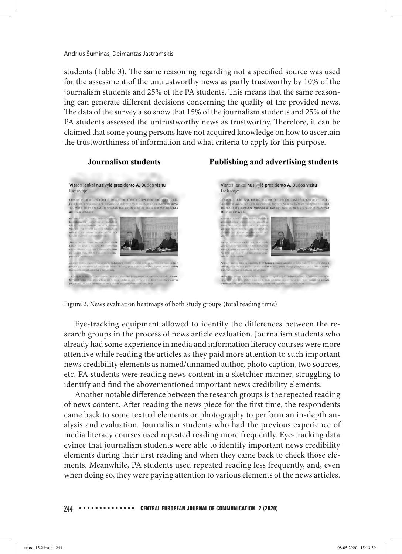students (Table 3). The same reasoning regarding not a specified source was used for the assessment of the untrustworthy news as partly trustworthy by 10% of the journalism students and 25% of the PA students. This means that the same reasoning can generate different decisions concerning the quality of the provided news. The data of the survey also show that 15% of the journalism students and 25% of the PA students assessed the untrustworthy news as trustworthy. Therefore, it can be claimed that some young persons have not acquired knowledge on how to ascertain the trustworthiness of information and what criteria to apply for this purpose.



## Publishing and advertising students

Figure 2. News evaluation heatmaps of both study groups (total reading time)

Eye-tracking equipment allowed to identify the differences between the research groups in the process of news article evaluation. Journalism students who already had some experience in media and information literacy courses were more attentive while reading the articles as they paid more attention to such important news credibility elements as named/unnamed author, photo caption, two sources, etc. PA students were reading news content in a sketchier manner, struggling to identify and find the abovementioned important news credibility elements.

Another notable difference between the research groups is the repeated reading of news content. After reading the news piece for the first time, the respondents came back to some textual elements or photography to perform an in-depth analysis and evaluation. Journalism students who had the previous experience of media literacy courses used repeated reading more frequently. Eye-tracking data evince that journalism students were able to identify important news credibility elements during their first reading and when they came back to check those elements. Meanwhile, PA students used repeated reading less frequently, and, even when doing so, they were paying attention to various elements of the news articles.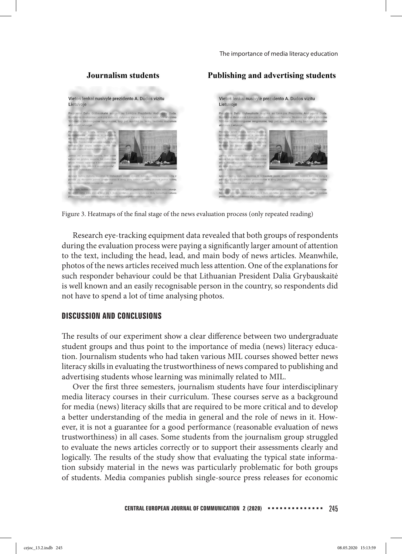## Journalism students

#### Publishing and advertising students



Figure 3. Heatmaps of the final stage of the news evaluation process (only repeated reading)

Research eye-tracking equipment data revealed that both groups of respondents during the evaluation process were paying a significantly larger amount of attention to the text, including the head, lead, and main body of news articles. Meanwhile, photos of the news articles received much less attention. One of the explanations for such responder behaviour could be that Lithuanian President Dalia Grybauskaitė is well known and an easily recognisable person in the country, so respondents did not have to spend a lot of time analysing photos.

## **DISCUSSION AND CONCLUSIONS**

The results of our experiment show a clear difference between two undergraduate student groups and thus point to the importance of media (news) literacy education. Journalism students who had taken various MIL courses showed better news literacy skills in evaluating the trustworthiness of news compared to publishing and advertising students whose learning was minimally related to MIL.

Over the first three semesters, journalism students have four interdisciplinary media literacy courses in their curriculum. These courses serve as a background for media (news) literacy skills that are required to be more critical and to develop a better understanding of the media in general and the role of news in it. However, it is not a guarantee for a good performance (reasonable evaluation of news trustworthiness) in all cases. Some students from the journalism group struggled to evaluate the news articles correctly or to support their assessments clearly and logically. The results of the study show that evaluating the typical state information subsidy material in the news was particularly problematic for both groups of students. Media companies publish single-source press releases for economic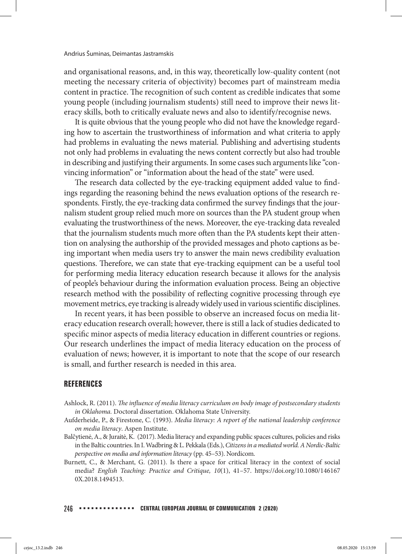and organisational reasons, and, in this way, theoretically low-quality content (not meeting the necessary criteria of objectivity) becomes part of mainstream media content in practice. The recognition of such content as credible indicates that some young people (including journalism students) still need to improve their news literacy skills, both to critically evaluate news and also to identify/recognise news.

It is quite obvious that the young people who did not have the knowledge regarding how to ascertain the trustworthiness of information and what criteria to apply had problems in evaluating the news material. Publishing and advertising students not only had problems in evaluating the news content correctly but also had trouble in describing and justifying their arguments. In some cases such arguments like "convincing information" or "information about the head of the state" were used.

The research data collected by the eye-tracking equipment added value to findings regarding the reasoning behind the news evaluation options of the research respondents. Firstly, the eye-tracking data confirmed the survey findings that the journalism student group relied much more on sources than the PA student group when evaluating the trustworthiness of the news. Moreover, the eye-tracking data revealed that the journalism students much more often than the PA students kept their attention on analysing the authorship of the provided messages and photo captions as being important when media users try to answer the main news credibility evaluation questions. Therefore, we can state that eye-tracking equipment can be a useful tool for performing media literacy education research because it allows for the analysis of people's behaviour during the information evaluation process. Being an objective research method with the possibility of reflecting cognitive processing through eye movement metrics, eye tracking is already widely used in various scientific disciplines.

In recent years, it has been possible to observe an increased focus on media literacy education research overall; however, there is still a lack of studies dedicated to specific minor aspects of media literacy education in different countries or regions. Our research underlines the impact of media literacy education on the process of evaluation of news; however, it is important to note that the scope of our research is small, and further research is needed in this area.

## **REFERENCES**

- Ashlock, R. (2011). *The influence of media literacy curriculum on body image of postsecondary students in Oklahoma.* Doctoral dissertation. Oklahoma State University.
- Aufderheide, P., & Firestone, C. (1993). *Media literacy: A report of the national leadership conference on media literacy*. Aspen Institute.
- Balčytienė, A., & Juraitė, K. (2017). Media literacy and expanding public spaces cultures, policies and risks in the Baltic countries. In I. Wadbring & L. Pekkala (Eds.), *Citizens in a mediated world. A Nordic-Baltic perspective on media and information literacy* (pp. 45–53). Nordicom.
- Burnett, C., & Merchant, G. (2011). Is there a space for critical literacy in the context of social media? *English Teaching: Practice and Critique, 10*(1), 41–57. https://doi.org/10.1080/146167 0X.2018.1494513.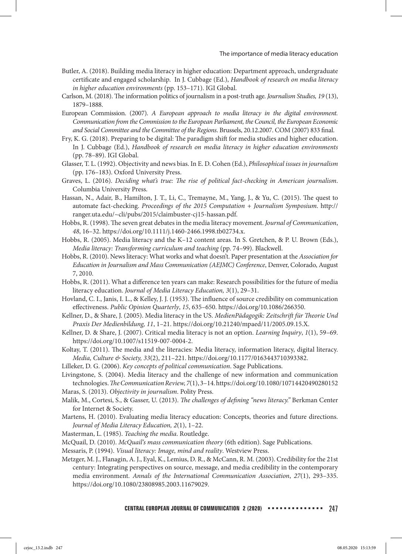- Butler, A. (2018). Building media literacy in higher education: Department approach, undergraduate certificate and engaged scholarship. In J. Cubbage (Ed.), *Handbook of research on media literacy in higher education environments* (pp. 153–171). IGI Global.
- Carlson, M. (2018). The information politics of journalism in a post-truth age. *Journalism Studies, 19* (13), 1879–1888.
- European Commission. (2007). *A European approach to media literacy in the digital environment. Communication from the Commission to the European Parliament, the Council, the European Economic and Social Committee and the Committee of the Regions*. Brussels, 20.12.2007. COM (2007) 833 final.
- Fry, K. G. (2018). Preparing to be digital: The paradigm shift for media studies and higher education. In J. Cubbage (Ed.), *Handbook of research on media literacy in higher education environments*  (pp. 78–89). IGI Global.
- Glasser, T. L. (1992). Objectivity and news bias. In E. D. Cohen (Ed.), *Philosophical issues in journalism*  (pp. 176–183). Oxford University Press.
- Graves, L. (2016). *Deciding what's true: The rise of political fact-checking in American journalism*. Columbia University Press.
- Hassan, N., Adair, B., Hamilton, J. T., Li, C., Tremayne, M., Yang, J., & Yu, C. (2015). The quest to automate fact-checking. *Proceedings of the 2015 Computation + Journalism Symposium*. http:// ranger.uta.edu/~cli/pubs/2015/claimbuster-cj15-hassan.pdf.
- Hobbs, R. (1998). The seven great debates in the media literacy movement. *Journal of Communication*, *48*, 16–32. https://doi.org/10.1111/j.1460-2466.1998.tb02734.x.
- Hobbs, R. (2005). Media literacy and the K–12 content areas. In S. Gretchen, & P. U. Brown (Eds.), *Media literacy: Transforming curriculum and teaching (pp. 74–99). Blackwell.*
- Hobbs, R. (2010). News literacy: What works and what doesn't. Paper presentation at the *Association for Education in Journalism and Mass Communication (AEJMC) Conference*, Denver, Colorado, August 7, 2010.
- Hobbs, R. (2011). What a difference ten years can make: Research possibilities for the future of media literacy education. *Journal of Media Literacy Education, 3*(1), 29–31.
- Hovland, C. I., Janis, I. L., & Kelley, J. J. (1953). The influence of source credibility on communication effectiveness. *Public Opinion Quarterly*, *15*, 635–650. https://doi.org/10.1086/266350.
- Kellner, D., & Share, J. (2005). Media literacy in the US. *MedienPädagogik: Zeitschrift für Theorie Und Praxis Der Medienbildung, 11*, 1–21. https://doi.org/10.21240/mpaed/11/2005.09.15.X.
- Kellner, D. & Share, J. (2007). Critical media literacy is not an option. *Learning Inquiry*, *1*(1), 59–69. https://doi.org/10.1007/s11519-007-0004-2.
- Koltay, T. (2011). The media and the literacies: Media literacy, information literacy, digital literacy. *Media, Culture & Society, 33*(2), 211–221. https://doi.org/10.1177/0163443710393382.
- Lilleker, D. G. (2006). *Key concepts of political communication*. Sage Publications.

Livingstone, S. (2004). Media literacy and the challenge of new information and communication technologies. *The Communication Review, 7*(1), 3–14. https://doi.org/10.1080/10714420490280152

Maras, S. (2013). *Objectivity in journalism*. Polity Press.

- Malik, M., Cortesi, S., & Gasser, U. (2013). *The challenges of defining "news literacy."* Berkman Center for Internet & Society.
- Martens, H. (2010). Evaluating media literacy education: Concepts, theories and future directions. *Journal of Media Literacy Education, 2*(1), 1–22.
- Masterman, L. (1985). *Teaching the media*. Routledge.
- McQuail, D. (2010). *McQuail's mass communication theory* (6th edition). Sage Publications.
- Messaris, P. (1994). *Visual literacy: Image, mind and reality*. Westview Press.
- Metzger, M. J., Flanagin, A. J., Eyal, K., Lemius, D. R., & McCann, R. M. (2003). Credibility for the 21st century: Integrating perspectives on source, message, and media credibility in the contemporary media environment. *Annals of the International Communication Association*, *27*(1), 293–335. https://doi.org/10.1080/23808985.2003.11679029.